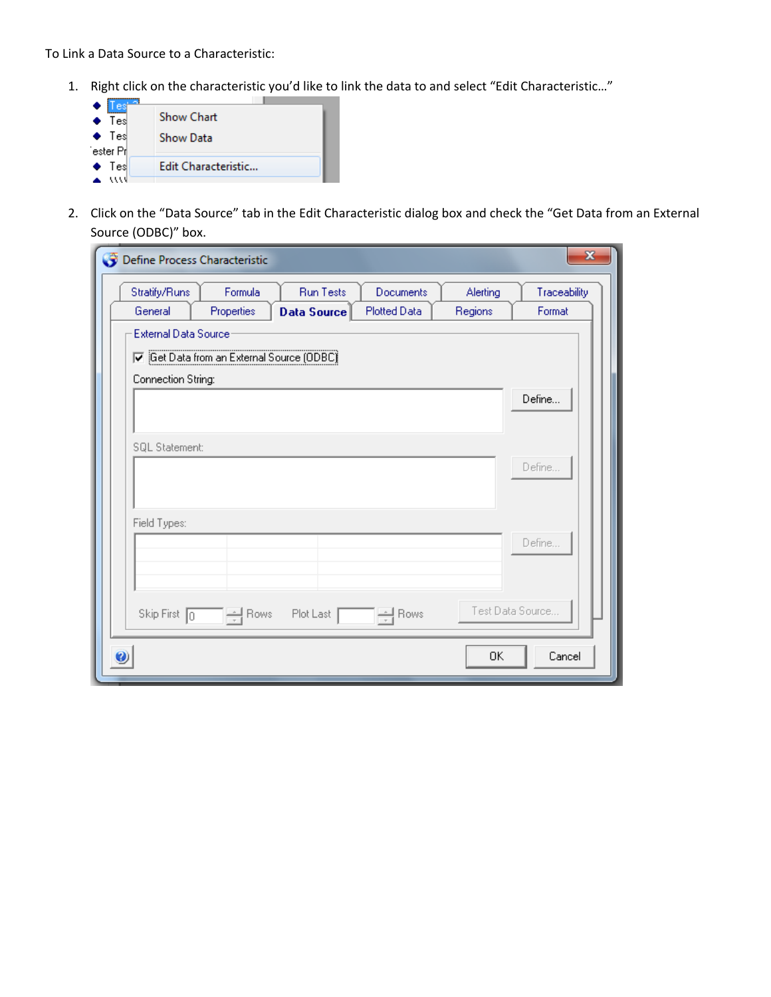To Link a Data Source to a Characteristic:

1. Right click on the characteristic you'd like to link the data to and select "Edit Characteristic…"



2. Click on the "Data Source" tab in the Edit Characteristic dialog box and check the "Get Data from an External Source (ODBC)" box.

| Define Process Characteristic |                                           |                                        |                           |                     | x                      |
|-------------------------------|-------------------------------------------|----------------------------------------|---------------------------|---------------------|------------------------|
| Stratify/Runs<br>General      | Formula<br>Properties                     | <b>Run Tests</b><br><b>Data Source</b> | Documents<br>Plotted Data | Alerting<br>Regions | Traceability<br>Format |
| <b>External Data Source</b>   |                                           |                                        |                           |                     |                        |
| Connection String:            | 区 Get Data from an External Source (ODBC) |                                        |                           |                     |                        |
|                               |                                           |                                        |                           |                     | Define                 |
| SQL Statement:                |                                           |                                        |                           |                     | Define                 |
| Field Types:                  |                                           |                                        |                           |                     | Define                 |
| Skip First 0                  | $\frac{1}{x}$ Rows                        | Plot Last                              | $\Rightarrow$ Rows        |                     | Test Data Source       |
|                               |                                           |                                        |                           | 0K                  | Cancel                 |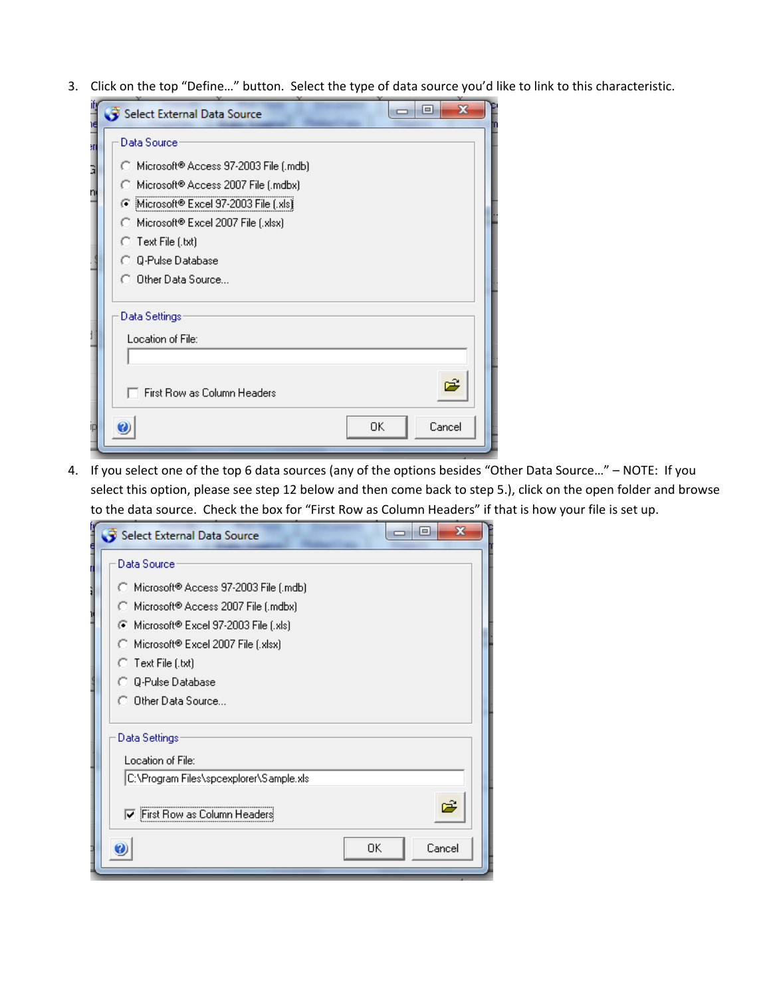3. Click on the top "Define…" button. Select the type of data source you'd like to link to this characteristic.

| ifj<br>١đ | $\mathbf x$<br>$\Box$<br>Select External Data Source                         |
|-----------|------------------------------------------------------------------------------|
| 9TI       | Data Source                                                                  |
| Ę         | Microsoft® Access 97-2003 File (.mdb)                                        |
| n         | ◯ Microsoft® Access 2007 File (.mdbx)                                        |
|           | Microsoft® Excel 97-2003 File [.xls]<br>C Microsoft® Excel 2007 File (.xlsx) |
|           | ◯ Text File (.txt)                                                           |
|           | <b>C</b> 0-Pulse Database                                                    |
|           | C. Other Data Source                                                         |
|           | Data Settings                                                                |
|           | Location of File:                                                            |
|           |                                                                              |
|           | õ<br>First Row as Column Headers                                             |
| П         | OΚ<br>Cancel                                                                 |
|           |                                                                              |

4. If you select one of the top 6 data sources (any of the options besides "Other Data Source…" – NOTE: If you select this option, please see step 12 below and then come back to step 5.), click on the open folder and browse to the data source. Check the box for "First Row as Column Headers" if that is how your file is set up.

| Select External Data Source             | $\qquad \qquad \blacksquare$ |
|-----------------------------------------|------------------------------|
| Data Source                             |                              |
| ◯ Microsoft® Access 97-2003 File (.mdb) |                              |
| ◯ Microsoft® Access 2007 File (.mdbx)   |                              |
| C Microsoft® Excel 97-2003 File (.xls)  |                              |
| ◯ Microsoft® Excel 2007 File (.xlsx)    |                              |
| $\bigcirc$ Text File (.txt)             |                              |
| <b>C</b> Q-Pulse Database               |                              |
| C Other Data Source                     |                              |
| Data Settings<br>Location of File:      |                              |
| C:\Program Files\spcexplorer\Sample.xls |                              |
| <b>▽</b> First Row as Column Headers    |                              |
|                                         | Cancel<br>OΚ                 |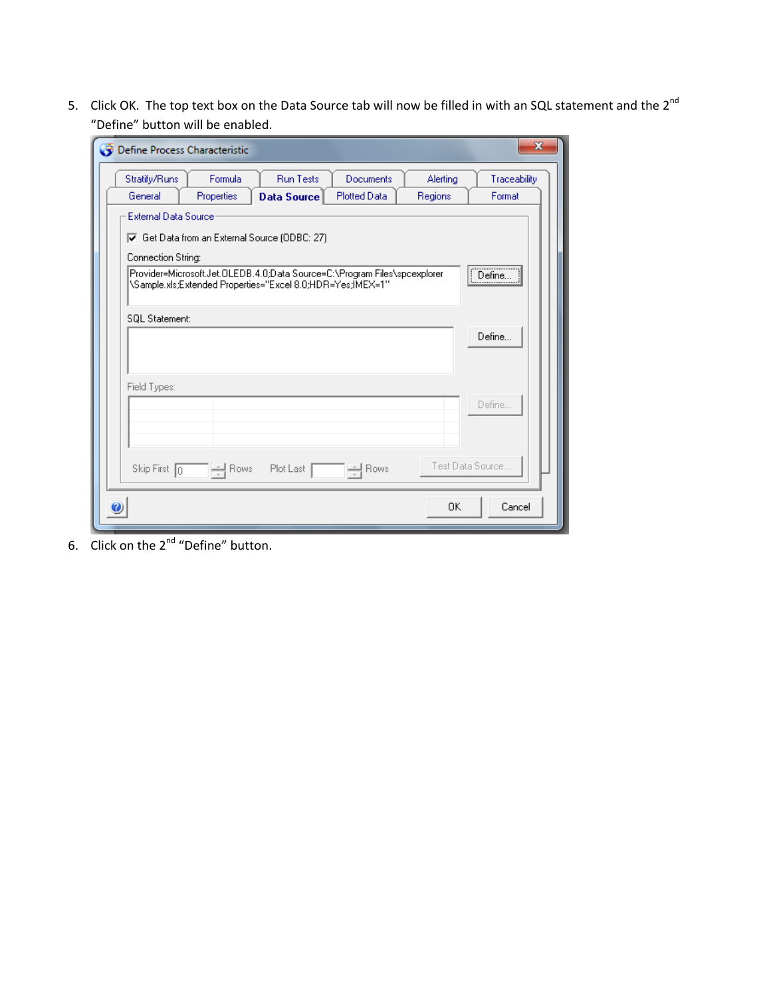5. Click OK. The top text box on the Data Source tab will now be filled in with an SQL statement and the 2<sup>nd</sup> "Define" button will be enabled.

| Define Process Characteristic |                                                                                           |                                                                                                                                         |                     |          | x               |  |
|-------------------------------|-------------------------------------------------------------------------------------------|-----------------------------------------------------------------------------------------------------------------------------------------|---------------------|----------|-----------------|--|
| Stratify/Runs                 | Formula                                                                                   | <b>Run Tests</b>                                                                                                                        | Documents           | Alerting | Traceability    |  |
| General                       | Properties                                                                                | <b>Data Source</b>                                                                                                                      | <b>Plotted Data</b> | Regions  | Format          |  |
| Connection String:            | <b>External Data Source</b><br>$\overline{V}$ Get Data from an External Source (ODBC: 27) |                                                                                                                                         |                     |          |                 |  |
|                               |                                                                                           | Provider=Microsoft.Jet.OLEDB.4.0;Data Source=C:\Program Files\spcexplorer<br>\Sample.xls;Extended Properties="Excel 8.0;HDR=Yes;IMEX=1" |                     |          | <br>Define.<br> |  |
| SQL Statement:                |                                                                                           |                                                                                                                                         |                     |          | Define          |  |
|                               |                                                                                           |                                                                                                                                         |                     |          |                 |  |
| Field Types:                  |                                                                                           |                                                                                                                                         |                     |          | Define          |  |
| Skip First 0                  | Test Data Source<br>$\frac{1}{x}$ Rows<br>Plot Last<br>$\frac{1}{x}$ Rows                 |                                                                                                                                         |                     |          |                 |  |
|                               |                                                                                           |                                                                                                                                         |                     | 0K       | Cancel          |  |

6. Click on the 2<sup>nd</sup> "Define" button.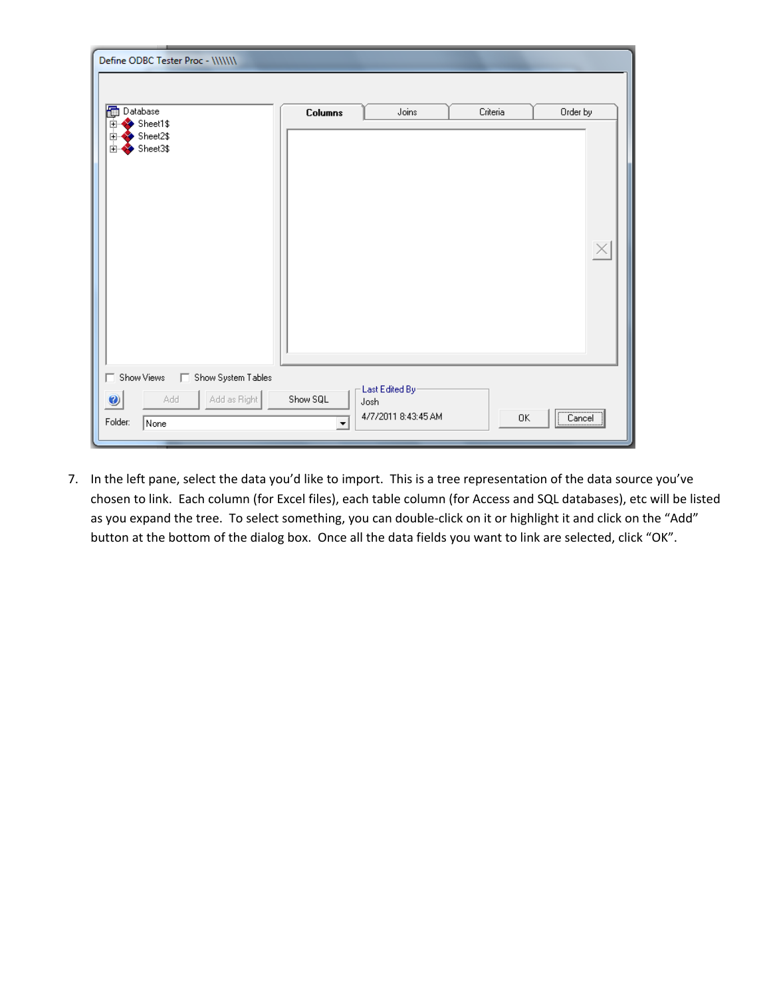| Define ODBC Tester Proc - \\\\\\\               |                          |                             |          |                         |
|-------------------------------------------------|--------------------------|-----------------------------|----------|-------------------------|
| 圈<br>Database                                   | Columns                  | Joins                       | Criteria | Order by                |
| Sheet1\$<br>田<br>Sheet2\$<br>由<br>Sheet3\$<br>由 |                          |                             |          | $\overline{\mathbf{X}}$ |
| Show System Tables<br>Show Views<br>Add         | Show SQL                 | Last Edited By-             |          |                         |
| Add as Right<br>$\bullet$<br>Folder:<br>None    | $\overline{\phantom{a}}$ | Josh<br>4/7/2011 8:43:45 AM | 0K       | $\boxed{\text{Cancel}}$ |

7. In the left pane, select the data you'd like to import. This is a tree representation of the data source you've chosen to link. Each column (for Excel files), each table column (for Access and SQL databases), etc will be listed as you expand the tree. To select something, you can double-click on it or highlight it and click on the "Add" button at the bottom of the dialog box. Once all the data fields you want to link are selected, click "OK".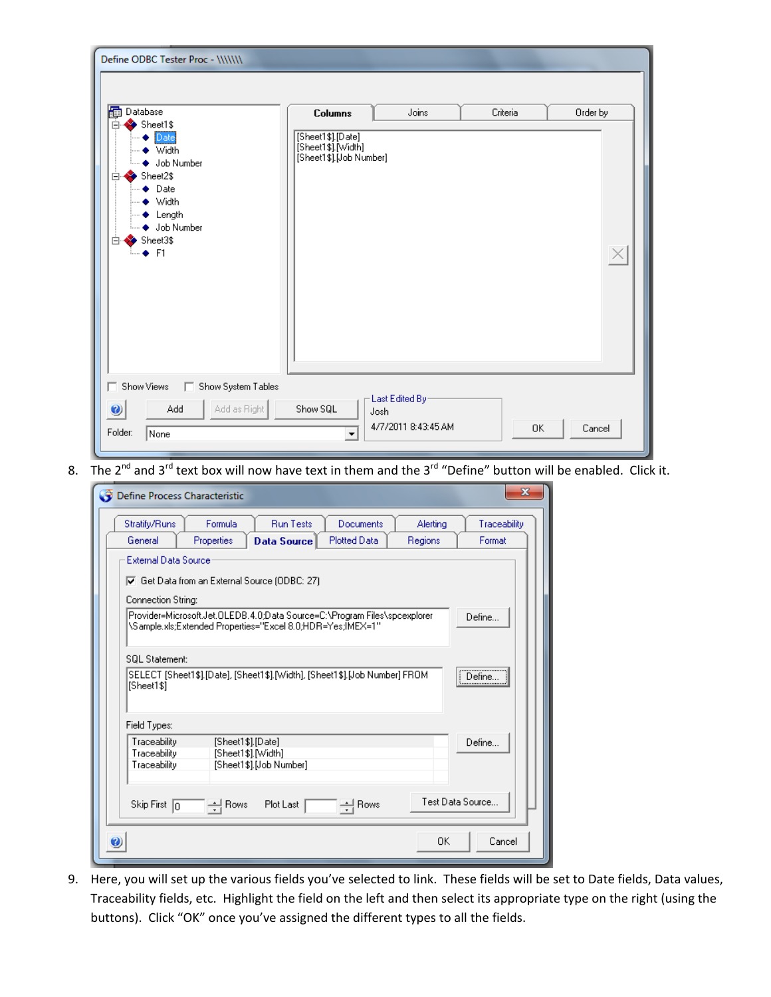| Define ODBC Tester Proc - \\\\\\\                                                                                                                                    |                                                                    |          |          |
|----------------------------------------------------------------------------------------------------------------------------------------------------------------------|--------------------------------------------------------------------|----------|----------|
| 圈<br>Database                                                                                                                                                        | Joins<br><b>Columns</b>                                            | Criteria | Order by |
| Sheet1\$<br>Ė<br>Date<br>▶ Width<br>♦ Job Number<br>Sheet2\$<br>⋿<br>$\bullet$ Date<br>$\bullet$ Width<br>$\bullet$ Length<br>◆ Job Number<br>Sheet3\$<br>冃<br>≒⊶ F1 | [Sheet1\$].[Date]<br>[Sheet1\$].[Width]<br>[Sheet1\$].[Job Number] |          | $\times$ |
| Show Views<br>Show System Tables                                                                                                                                     |                                                                    |          |          |
| Add as Right<br>Add<br>Ø<br>Folder:<br>None                                                                                                                          | Last Edited By-<br>Show SQL<br>Josh<br>4/7/2011 8:43:45 AM         | 0K       | Cancel   |

8. The  $2^{nd}$  and  $3^{rd}$  text box will now have text in them and the  $3^{rd}$  "Define" button will be enabled. Click it.

| Define Process Characteristic                                                 | х                |
|-------------------------------------------------------------------------------|------------------|
| Stratify/Runs<br><b>Run Tests</b><br>Formula<br>Documents<br>Alerting         | Traceability     |
| General<br>Properties<br><b>Plotted Data</b><br>Regions<br><b>Data Source</b> | Format           |
| <b>External Data Source</b>                                                   |                  |
| $\overline{\mathbf{v}}$ Get Data from an External Source (ODBC: 27)           |                  |
| Connection String:                                                            |                  |
| Provider=Microsoft.Jet.OLEDB.4.0;Data Source=C:\Program Files\spcexplorer     |                  |
| \Sample.xls;Extended Properties="Excel 8.0;HDR=Yes;IMEX=1"                    | Define           |
|                                                                               |                  |
| <b>SQL Statement:</b>                                                         |                  |
| SELECT [Sheet1\$].[Date], [Sheet1\$].[Width], [Sheet1\$].[Job Number] FROM    | Define           |
| [Sheet1\$]                                                                    |                  |
|                                                                               |                  |
| Field Types:                                                                  |                  |
| Traceability<br>[Sheet1\$].[Date]                                             | Define           |
| [Sheet1\$].[Width]<br>Traceability                                            |                  |
| [Sheet1\$].[Job Number]<br>Traceability                                       |                  |
|                                                                               |                  |
| $\pm$ Rows<br>Plot Last<br>$\frac{1}{2}$ Rows<br>Skip First $\boxed{0}$       | Test Data Source |
|                                                                               |                  |
| 0K                                                                            | Cancel           |
|                                                                               |                  |

9. Here, you will set up the various fields you've selected to link. These fields will be set to Date fields, Data values, Traceability fields, etc. Highlight the field on the left and then select its appropriate type on the right (using the buttons). Click "OK" once you've assigned the different types to all the fields.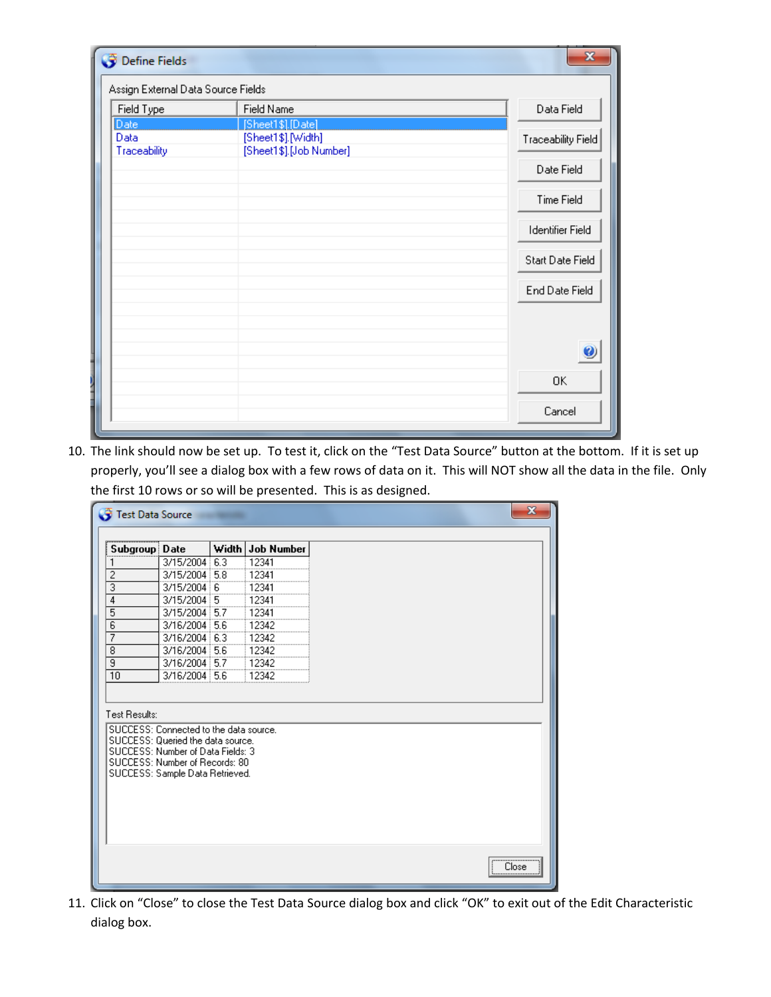| Define Fields                      |                                                                    |                         |
|------------------------------------|--------------------------------------------------------------------|-------------------------|
| Assign External Data Source Fields |                                                                    |                         |
| Field Type                         | Field Name                                                         | Data Field              |
| Date<br>Data<br>Traceability       | [Sheet1\$].[Date]<br>[Sheet1\$].[Width]<br>[Sheet1\$].[Job Number] | Traceability Field      |
|                                    |                                                                    | Date Field              |
|                                    |                                                                    | Time Field              |
|                                    |                                                                    | <b>Identifier Field</b> |
|                                    |                                                                    | Start Date Field        |
|                                    |                                                                    | End Date Field          |
|                                    |                                                                    |                         |
|                                    |                                                                    | C                       |
|                                    |                                                                    | 0K                      |
|                                    |                                                                    | Cancel                  |

10. The link should now be set up. To test it, click on the "Test Data Source" button at the bottom. If it is set up properly, you'll see a dialog box with a few rows of data on it. This will NOT show all the data in the file. Only the first 10 rows or so will be presented. This is as designed.

11. Click on "Close" to close the Test Data Source dialog box and click "OK" to exit out of the Edit Characteristic dialog box.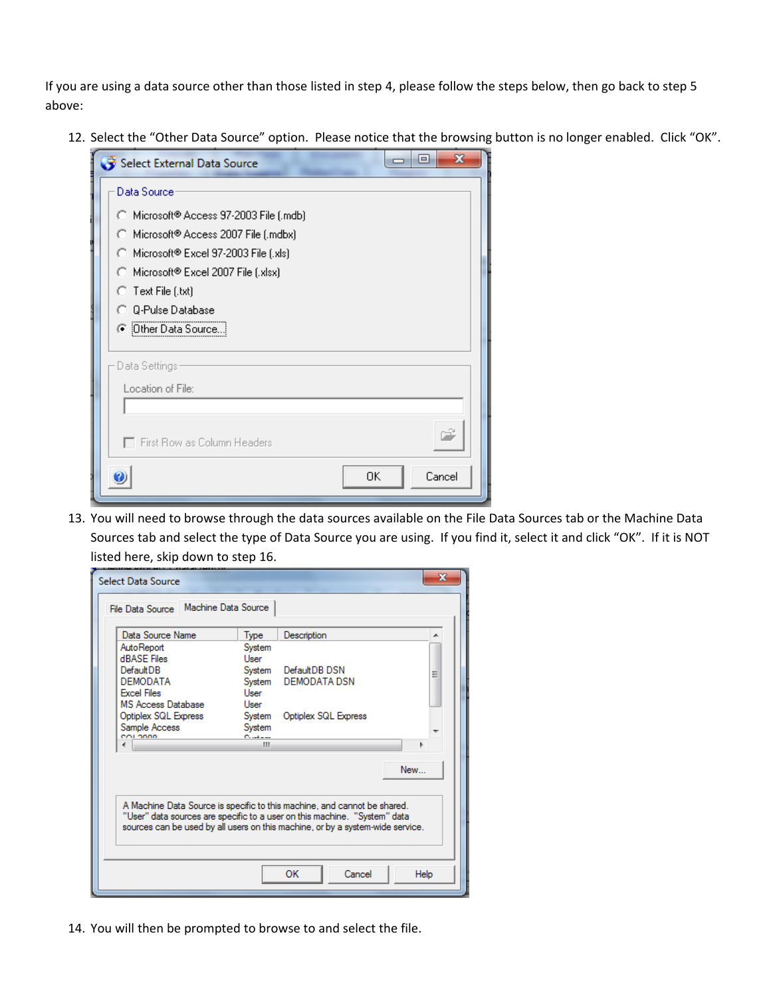If you are using a data source other than those listed in step 4, please follow the steps below, then go back to step 5 above:

12. Select the "Other Data Source" option. Please notice that the browsing button is no longer enabled. Click "OK".

| $\blacksquare$<br>Select External Data Source | x |
|-----------------------------------------------|---|
| Data Source                                   |   |
| ◯ Microsoft® Access 97-2003 File (.mdb)       |   |
| ◯ Microsoft® Access 2007 File (.mdbx)         |   |
| ◯ Microsoft® Excel 97-2003 File (.xls)        |   |
| ◯ Microsoft® Excel 2007 File (.xlsx)          |   |
| $\bigcirc$ Text File (.txt)                   |   |
| <b>C</b> Q-Pulse Database                     |   |
| <b>C</b> Other Data Source                    |   |
| Data Settings                                 |   |
| Location of File:                             |   |
|                                               |   |
|                                               |   |
| $\top$ First Row as Column Headers            |   |
| Cancel<br>0K                                  |   |

13. You will need to browse through the data sources available on the File Data Sources tab or the Machine Data Sources tab and select the type of Data Source you are using. If you find it, select it and click "OK". If it is NOT listed here, skip down to step 16.

| File Data Source Machine Data Source |                |                                                                                                                                                                                                                                         |     |
|--------------------------------------|----------------|-----------------------------------------------------------------------------------------------------------------------------------------------------------------------------------------------------------------------------------------|-----|
| Data Source Name                     | Type           | Description                                                                                                                                                                                                                             | ∸   |
| AutoReport<br><b>dBASE</b> Files     | System<br>User |                                                                                                                                                                                                                                         |     |
| DefaultDB                            | System         | DefaultDB DSN                                                                                                                                                                                                                           | Ξ   |
| <b>DEMODATA</b>                      | Svstem         | <b>DEMODATA DSN</b>                                                                                                                                                                                                                     |     |
| <b>Excel Files</b>                   | User           |                                                                                                                                                                                                                                         |     |
| <b>MS Access Database</b>            | <b>User</b>    |                                                                                                                                                                                                                                         |     |
| Optiplex SQL Express                 | System         | Optiplex SQL Express                                                                                                                                                                                                                    |     |
| Sample Access                        | System         |                                                                                                                                                                                                                                         |     |
| COLODDO                              | Contains<br>ш  |                                                                                                                                                                                                                                         |     |
|                                      |                |                                                                                                                                                                                                                                         |     |
|                                      |                |                                                                                                                                                                                                                                         | New |
|                                      |                | A Machine Data Source is specific to this machine, and cannot be shared.<br>"User" data sources are specific to a user on this machine. "System" data<br>sources can be used by all users on this machine, or by a system-wide service. |     |
|                                      |                |                                                                                                                                                                                                                                         |     |

14. You will then be prompted to browse to and select the file.